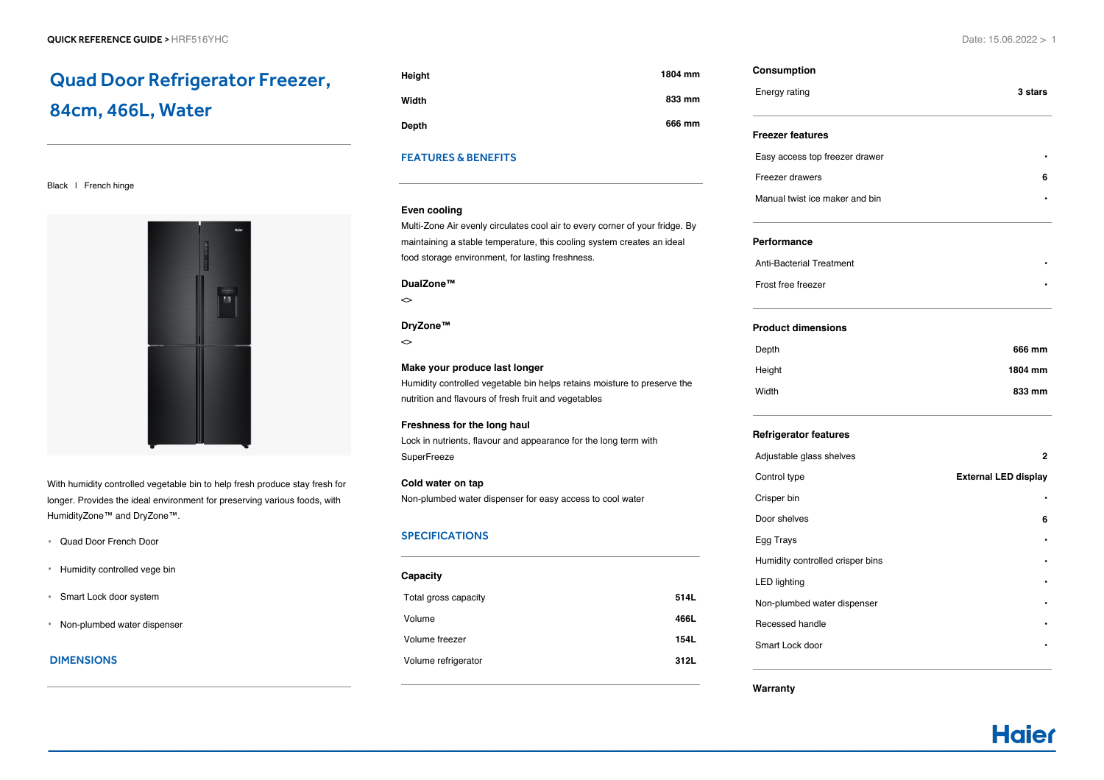# Quad Door Refrigerator Freezer, 84cm, 466L, Water

## Black | French hinge



With humidity controlled vegetable bin to help fresh produce stay fresh for longer. Provides the ideal environment for preserving various foods, with HumidityZone™ and DryZone™.

- Quad Door French Door
- Humidity controlled vege bin
- Smart Lock door system
- Non-plumbed water dispenser

# DIMENSIONS

| Height       | 1804 mm |
|--------------|---------|
| Width        | 833 mm  |
| <b>Depth</b> | 666 mm  |

## FEATURES & BENEFITS

#### **Even cooling**

Multi-Zone Air evenly circulates cool air to every corner of your fridge. By maintaining a stable temperature, this cooling system creates an ideal food storage environment, for lasting freshness.

#### **DualZone™**

 $\sim$ 

### **DryZone™**

 $\sim$ 

## **Make your produce last longer**

Humidity controlled vegetable bin helps retains moisture to preserve the nutrition and flavours of fresh fruit and vegetables

# **Freshness for the long haul**

Lock in nutrients, flavour and appearance for the long term with **SuperFreeze** 

## **Cold water on tap** Non-plumbed water dispenser for easy access to cool water

## SPECIFICATIONS

| Capacity             |             |
|----------------------|-------------|
| Total gross capacity | 514L        |
| Volume               | 466L        |
| Volume freezer       | <b>154L</b> |
| Volume refrigerator  | 312L        |
|                      |             |

| Consumption                      |                             |
|----------------------------------|-----------------------------|
| Energy rating                    | 3 stars                     |
| <b>Freezer features</b>          |                             |
| Easy access top freezer drawer   |                             |
| Freezer drawers                  | 6                           |
| Manual twist ice maker and bin   |                             |
| Performance                      |                             |
| <b>Anti-Bacterial Treatment</b>  |                             |
| Frost free freezer               |                             |
| <b>Product dimensions</b>        |                             |
| Depth                            | 666 mm                      |
| Height                           | 1804 mm                     |
| Width                            | 833 mm                      |
| <b>Refrigerator features</b>     |                             |
| Adjustable glass shelves         | 2                           |
| Control type                     | <b>External LED display</b> |
| Crisper bin                      |                             |
| Door shelves                     | 6                           |
| Egg Trays                        |                             |
| Humidity controlled crisper bins |                             |
| <b>LED lighting</b>              |                             |
| Non-plumbed water dispenser      |                             |
| Recessed handle                  |                             |

**Warranty**

Smart Lock door